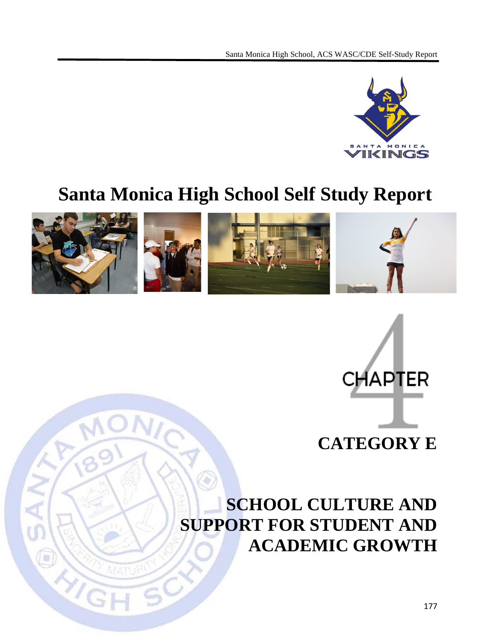

# **Santa Monica High School Self Study Report**



 $\gamma_{I}$ 



## **SCHOOL CULTURE AND SUPPORT FOR STUDENT AND ACADEMIC GROWTH**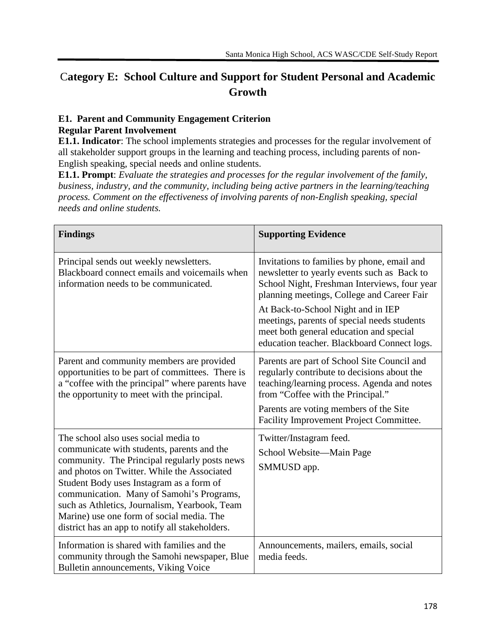## C**ategory E: School Culture and Support for Student Personal and Academic Growth**

#### **E1. Parent and Community Engagement Criterion Regular Parent Involvement**

**E1.1. Indicator**: The school implements strategies and processes for the regular involvement of all stakeholder support groups in the learning and teaching process, including parents of non-English speaking, special needs and online students.

**E1.1. Prompt**: *Evaluate the strategies and processes for the regular involvement of the family, business, industry, and the community, including being active partners in the learning/teaching process. Comment on the effectiveness of involving parents of non-English speaking, special needs and online students.*

| <b>Findings</b>                                                                                                                                                                                                                                                                                                                                                                                                              | <b>Supporting Evidence</b>                                                                                                                                                                                                                                                                                                                                              |
|------------------------------------------------------------------------------------------------------------------------------------------------------------------------------------------------------------------------------------------------------------------------------------------------------------------------------------------------------------------------------------------------------------------------------|-------------------------------------------------------------------------------------------------------------------------------------------------------------------------------------------------------------------------------------------------------------------------------------------------------------------------------------------------------------------------|
| Principal sends out weekly newsletters.<br>Blackboard connect emails and voicemails when<br>information needs to be communicated.                                                                                                                                                                                                                                                                                            | Invitations to families by phone, email and<br>newsletter to yearly events such as Back to<br>School Night, Freshman Interviews, four year<br>planning meetings, College and Career Fair<br>At Back-to-School Night and in IEP<br>meetings, parents of special needs students<br>meet both general education and special<br>education teacher. Blackboard Connect logs. |
| Parent and community members are provided<br>opportunities to be part of committees. There is<br>a "coffee with the principal" where parents have<br>the opportunity to meet with the principal.                                                                                                                                                                                                                             | Parents are part of School Site Council and<br>regularly contribute to decisions about the<br>teaching/learning process. Agenda and notes<br>from "Coffee with the Principal."<br>Parents are voting members of the Site<br>Facility Improvement Project Committee.                                                                                                     |
| The school also uses social media to<br>communicate with students, parents and the<br>community. The Principal regularly posts news<br>and photos on Twitter. While the Associated<br>Student Body uses Instagram as a form of<br>communication. Many of Samohi's Programs,<br>such as Athletics, Journalism, Yearbook, Team<br>Marine) use one form of social media. The<br>district has an app to notify all stakeholders. | Twitter/Instagram feed.<br>School Website-Main Page<br>SMMUSD app.                                                                                                                                                                                                                                                                                                      |
| Information is shared with families and the<br>community through the Samohi newspaper, Blue<br>Bulletin announcements, Viking Voice                                                                                                                                                                                                                                                                                          | Announcements, mailers, emails, social<br>media feeds.                                                                                                                                                                                                                                                                                                                  |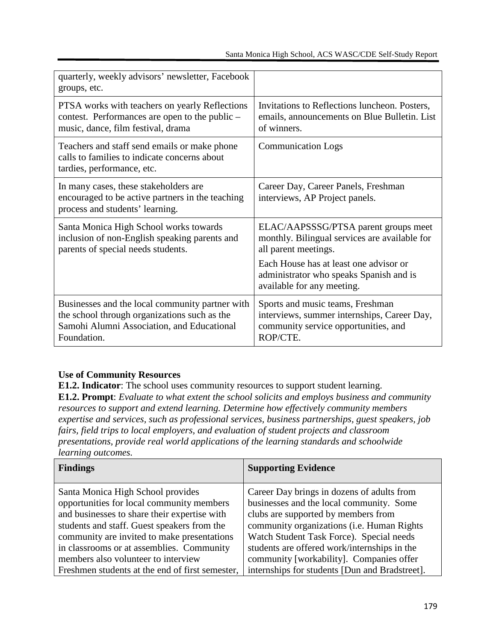| quarterly, weekly advisors' newsletter, Facebook<br>groups, etc.                                                                                             |                                                                                                                                     |
|--------------------------------------------------------------------------------------------------------------------------------------------------------------|-------------------------------------------------------------------------------------------------------------------------------------|
| PTSA works with teachers on yearly Reflections<br>contest. Performances are open to the public –<br>music, dance, film festival, drama                       | Invitations to Reflections luncheon. Posters,<br>emails, announcements on Blue Bulletin. List<br>of winners.                        |
| Teachers and staff send emails or make phone<br>calls to families to indicate concerns about<br>tardies, performance, etc.                                   | <b>Communication Logs</b>                                                                                                           |
| In many cases, these stakeholders are<br>encouraged to be active partners in the teaching<br>process and students' learning.                                 | Career Day, Career Panels, Freshman<br>interviews, AP Project panels.                                                               |
| Santa Monica High School works towards<br>inclusion of non-English speaking parents and<br>parents of special needs students.                                | ELAC/AAPSSSG/PTSA parent groups meet<br>monthly. Bilingual services are available for<br>all parent meetings.                       |
|                                                                                                                                                              | Each House has at least one advisor or<br>administrator who speaks Spanish and is<br>available for any meeting.                     |
| Businesses and the local community partner with<br>the school through organizations such as the<br>Samohi Alumni Association, and Educational<br>Foundation. | Sports and music teams, Freshman<br>interviews, summer internships, Career Day,<br>community service opportunities, and<br>ROP/CTE. |

#### **Use of Community Resources**

**E1.2. Indicator**: The school uses community resources to support student learning. **E1.2. Prompt**: *Evaluate to what extent the school solicits and employs business and community resources to support and extend learning. Determine how effectively community members expertise and services, such as professional services, business partnerships, guest speakers, job fairs, field trips to local employers, and evaluation of student projects and classroom* 

*presentations, provide real world applications of the learning standards and schoolwide learning outcomes.*

| <b>Findings</b>                                                                | <b>Supporting Evidence</b>                                                             |
|--------------------------------------------------------------------------------|----------------------------------------------------------------------------------------|
| Santa Monica High School provides<br>opportunities for local community members | Career Day brings in dozens of adults from<br>businesses and the local community. Some |
| and businesses to share their expertise with                                   | clubs are supported by members from                                                    |
| students and staff. Guest speakers from the                                    | community organizations (i.e. Human Rights                                             |
| community are invited to make presentations                                    | Watch Student Task Force). Special needs                                               |
| in classrooms or at assemblies. Community                                      | students are offered work/internships in the                                           |
| members also volunteer to interview                                            | community [workability]. Companies offer                                               |
| Freshmen students at the end of first semester,                                | internships for students [Dun and Bradstreet].                                         |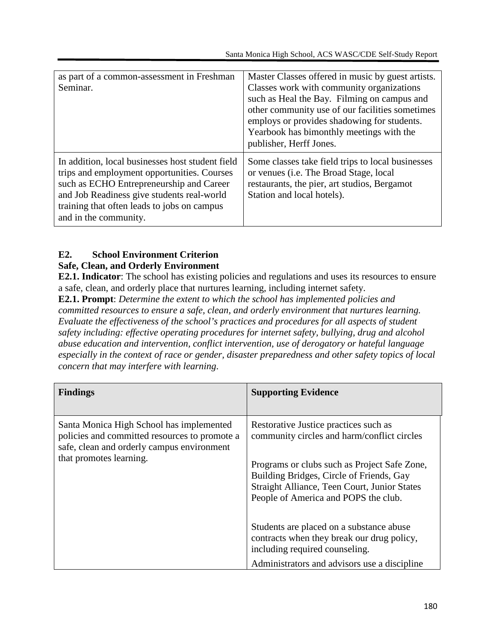| as part of a common-assessment in Freshman<br>Seminar.                                                                                                                                                                                                            | Master Classes offered in music by guest artists.<br>Classes work with community organizations<br>such as Heal the Bay. Filming on campus and<br>other community use of our facilities sometimes<br>employs or provides shadowing for students.<br>Yearbook has bimonthly meetings with the<br>publisher, Herff Jones. |
|-------------------------------------------------------------------------------------------------------------------------------------------------------------------------------------------------------------------------------------------------------------------|------------------------------------------------------------------------------------------------------------------------------------------------------------------------------------------------------------------------------------------------------------------------------------------------------------------------|
| In addition, local businesses host student field<br>trips and employment opportunities. Courses<br>such as ECHO Entrepreneurship and Career<br>and Job Readiness give students real-world<br>training that often leads to jobs on campus<br>and in the community. | Some classes take field trips to local businesses<br>or venues (i.e. The Broad Stage, local<br>restaurants, the pier, art studios, Bergamot<br>Station and local hotels).                                                                                                                                              |

#### **E2. School Environment Criterion**

#### **Safe, Clean, and Orderly Environment**

**E2.1. Indicator**: The school has existing policies and regulations and uses its resources to ensure a safe, clean, and orderly place that nurtures learning, including internet safety.

**E2.1. Prompt**: *Determine the extent to which the school has implemented policies and committed resources to ensure a safe, clean, and orderly environment that nurtures learning. Evaluate the effectiveness of the school's practices and procedures for all aspects of student safety including: effective operating procedures for internet safety, bullying, drug and alcohol abuse education and intervention, conflict intervention, use of derogatory or hateful language especially in the context of race or gender, disaster preparedness and other safety topics of local concern that may interfere with learning*.

| <b>Findings</b>                                                                                                                         | <b>Supporting Evidence</b>                                                                                                                                                       |
|-----------------------------------------------------------------------------------------------------------------------------------------|----------------------------------------------------------------------------------------------------------------------------------------------------------------------------------|
| Santa Monica High School has implemented<br>policies and committed resources to promote a<br>safe, clean and orderly campus environment | Restorative Justice practices such as<br>community circles and harm/conflict circles                                                                                             |
| that promotes learning.                                                                                                                 | Programs or clubs such as Project Safe Zone,<br>Building Bridges, Circle of Friends, Gay<br>Straight Alliance, Teen Court, Junior States<br>People of America and POPS the club. |
|                                                                                                                                         | Students are placed on a substance abuse<br>contracts when they break our drug policy,<br>including required counseling.<br>Administrators and advisors use a discipline         |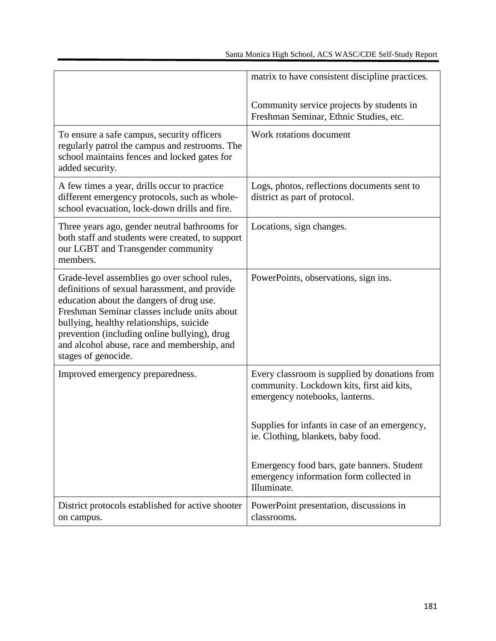|                                                                                                                                                                                                                                                                                                                                                             | matrix to have consistent discipline practices.                                                                              |
|-------------------------------------------------------------------------------------------------------------------------------------------------------------------------------------------------------------------------------------------------------------------------------------------------------------------------------------------------------------|------------------------------------------------------------------------------------------------------------------------------|
|                                                                                                                                                                                                                                                                                                                                                             | Community service projects by students in<br>Freshman Seminar, Ethnic Studies, etc.                                          |
| To ensure a safe campus, security officers<br>regularly patrol the campus and restrooms. The<br>school maintains fences and locked gates for<br>added security.                                                                                                                                                                                             | Work rotations document                                                                                                      |
| A few times a year, drills occur to practice<br>different emergency protocols, such as whole-<br>school evacuation, lock-down drills and fire.                                                                                                                                                                                                              | Logs, photos, reflections documents sent to<br>district as part of protocol.                                                 |
| Three years ago, gender neutral bathrooms for<br>both staff and students were created, to support<br>our LGBT and Transgender community<br>members.                                                                                                                                                                                                         | Locations, sign changes.                                                                                                     |
| Grade-level assemblies go over school rules,<br>definitions of sexual harassment, and provide<br>education about the dangers of drug use.<br>Freshman Seminar classes include units about<br>bullying, healthy relationships, suicide<br>prevention (including online bullying), drug<br>and alcohol abuse, race and membership, and<br>stages of genocide. | PowerPoints, observations, sign ins.                                                                                         |
| Improved emergency preparedness.                                                                                                                                                                                                                                                                                                                            | Every classroom is supplied by donations from<br>community. Lockdown kits, first aid kits,<br>emergency notebooks, lanterns. |
|                                                                                                                                                                                                                                                                                                                                                             | Supplies for infants in case of an emergency,<br>ie. Clothing, blankets, baby food.                                          |
|                                                                                                                                                                                                                                                                                                                                                             | Emergency food bars, gate banners. Student<br>emergency information form collected in<br>Illuminate.                         |
| District protocols established for active shooter<br>on campus.                                                                                                                                                                                                                                                                                             | PowerPoint presentation, discussions in<br>classrooms.                                                                       |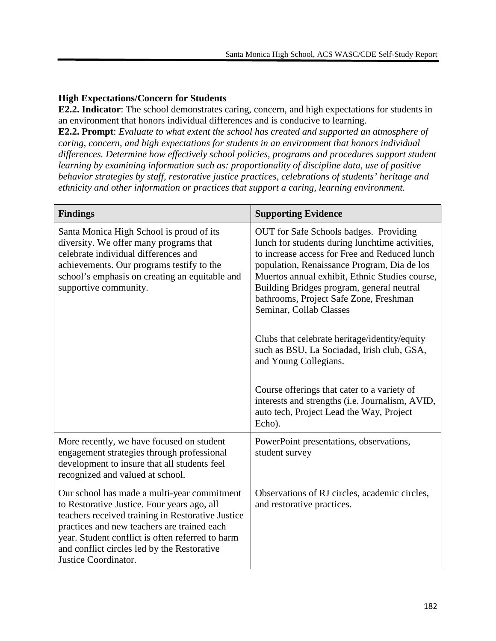#### **High Expectations/Concern for Students**

**E2.2. Indicator**: The school demonstrates caring, concern, and high expectations for students in an environment that honors individual differences and is conducive to learning.

**E2.2. Prompt**: *Evaluate to what extent the school has created and supported an atmosphere of caring, concern, and high expectations for students in an environment that honors individual differences. Determine how effectively school policies, programs and procedures support student learning by examining information such as: proportionality of discipline data, use of positive behavior strategies by staff, restorative justice practices, celebrations of students' heritage and ethnicity and other information or practices that support a caring, learning environment.*

| <b>Findings</b>                                                                                                                                                                                                                                                                                                           | <b>Supporting Evidence</b>                                                                                                                                                                                                                                                                                                                                                                                                                                   |
|---------------------------------------------------------------------------------------------------------------------------------------------------------------------------------------------------------------------------------------------------------------------------------------------------------------------------|--------------------------------------------------------------------------------------------------------------------------------------------------------------------------------------------------------------------------------------------------------------------------------------------------------------------------------------------------------------------------------------------------------------------------------------------------------------|
| Santa Monica High School is proud of its<br>diversity. We offer many programs that<br>celebrate individual differences and<br>achievements. Our programs testify to the<br>school's emphasis on creating an equitable and<br>supportive community.                                                                        | OUT for Safe Schools badges. Providing<br>lunch for students during lunchtime activities,<br>to increase access for Free and Reduced lunch<br>population, Renaissance Program, Dia de los<br>Muertos annual exhibit, Ethnic Studies course,<br>Building Bridges program, general neutral<br>bathrooms, Project Safe Zone, Freshman<br>Seminar, Collab Classes<br>Clubs that celebrate heritage/identity/equity<br>such as BSU, La Sociadad, Irish club, GSA, |
|                                                                                                                                                                                                                                                                                                                           | and Young Collegians.<br>Course offerings that cater to a variety of<br>interests and strengths (i.e. Journalism, AVID,<br>auto tech, Project Lead the Way, Project<br>Echo).                                                                                                                                                                                                                                                                                |
| More recently, we have focused on student<br>engagement strategies through professional<br>development to insure that all students feel<br>recognized and valued at school.                                                                                                                                               | PowerPoint presentations, observations,<br>student survey                                                                                                                                                                                                                                                                                                                                                                                                    |
| Our school has made a multi-year commitment<br>to Restorative Justice. Four years ago, all<br>teachers received training in Restorative Justice<br>practices and new teachers are trained each<br>year. Student conflict is often referred to harm<br>and conflict circles led by the Restorative<br>Justice Coordinator. | Observations of RJ circles, academic circles,<br>and restorative practices.                                                                                                                                                                                                                                                                                                                                                                                  |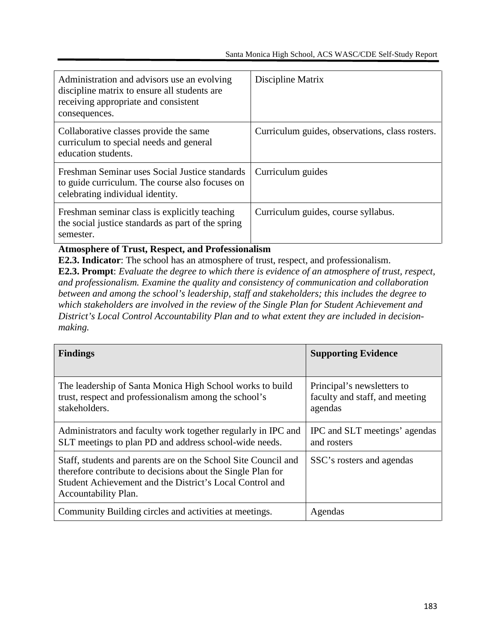| Administration and advisors use an evolving<br>discipline matrix to ensure all students are<br>receiving appropriate and consistent<br>consequences. | Discipline Matrix                               |
|------------------------------------------------------------------------------------------------------------------------------------------------------|-------------------------------------------------|
| Collaborative classes provide the same<br>curriculum to special needs and general<br>education students.                                             | Curriculum guides, observations, class rosters. |
| Freshman Seminar uses Social Justice standards<br>to guide curriculum. The course also focuses on<br>celebrating individual identity.                | Curriculum guides                               |
| Freshman seminar class is explicitly teaching<br>the social justice standards as part of the spring<br>semester.                                     | Curriculum guides, course syllabus.             |

**Atmosphere of Trust, Respect, and Professionalism**

**E2.3. Indicator**: The school has an atmosphere of trust, respect, and professionalism. **E2.3. Prompt**: *Evaluate the degree to which there is evidence of an atmosphere of trust, respect, and professionalism. Examine the quality and consistency of communication and collaboration between and among the school's leadership, staff and stakeholders; this includes the degree to which stakeholders are involved in the review of the Single Plan for Student Achievement and District's Local Control Accountability Plan and to what extent they are included in decisionmaking.*

| <b>Findings</b>                                                                                                                                                                                                   | <b>Supporting Evidence</b>                                              |
|-------------------------------------------------------------------------------------------------------------------------------------------------------------------------------------------------------------------|-------------------------------------------------------------------------|
| The leadership of Santa Monica High School works to build<br>trust, respect and professionalism among the school's<br>stakeholders.                                                                               | Principal's newsletters to<br>faculty and staff, and meeting<br>agendas |
| Administrators and faculty work together regularly in IPC and<br>SLT meetings to plan PD and address school-wide needs.                                                                                           | IPC and SLT meetings' agendas<br>and rosters                            |
| Staff, students and parents are on the School Site Council and<br>therefore contribute to decisions about the Single Plan for<br>Student Achievement and the District's Local Control and<br>Accountability Plan. | SSC's rosters and agendas                                               |
| Community Building circles and activities at meetings.                                                                                                                                                            | Agendas                                                                 |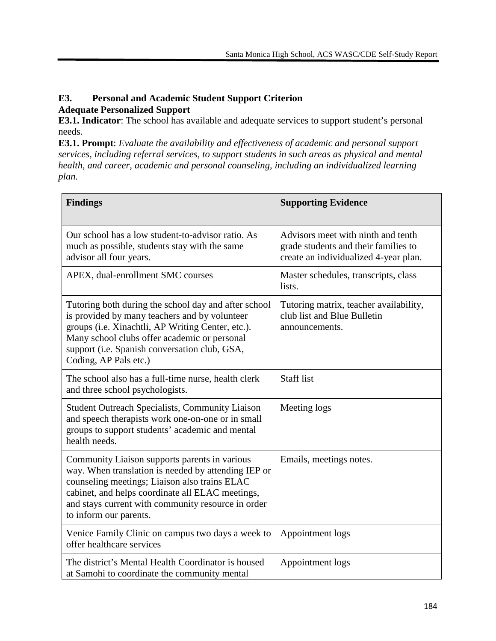#### **E3. Personal and Academic Student Support Criterion Adequate Personalized Support**

**E3.1. Indicator**: The school has available and adequate services to support student's personal needs.

**E3.1. Prompt**: *Evaluate the availability and effectiveness of academic and personal support services, including referral services, to support students in such areas as physical and mental health, and career, academic and personal counseling, including an individualized learning plan.*

| <b>Findings</b>                                                                                                                                                                                                                                                                           | <b>Supporting Evidence</b>                                                                                          |
|-------------------------------------------------------------------------------------------------------------------------------------------------------------------------------------------------------------------------------------------------------------------------------------------|---------------------------------------------------------------------------------------------------------------------|
| Our school has a low student-to-advisor ratio. As<br>much as possible, students stay with the same<br>advisor all four years.                                                                                                                                                             | Advisors meet with ninth and tenth<br>grade students and their families to<br>create an individualized 4-year plan. |
| APEX, dual-enrollment SMC courses                                                                                                                                                                                                                                                         | Master schedules, transcripts, class<br>lists.                                                                      |
| Tutoring both during the school day and after school<br>is provided by many teachers and by volunteer<br>groups (i.e. Xinachtli, AP Writing Center, etc.).<br>Many school clubs offer academic or personal<br>support (i.e. Spanish conversation club, GSA,<br>Coding, AP Pals etc.)      | Tutoring matrix, teacher availability,<br>club list and Blue Bulletin<br>announcements.                             |
| The school also has a full-time nurse, health clerk<br>and three school psychologists.                                                                                                                                                                                                    | <b>Staff</b> list                                                                                                   |
| <b>Student Outreach Specialists, Community Liaison</b><br>and speech therapists work one-on-one or in small<br>groups to support students' academic and mental<br>health needs.                                                                                                           | Meeting logs                                                                                                        |
| Community Liaison supports parents in various<br>way. When translation is needed by attending IEP or<br>counseling meetings; Liaison also trains ELAC<br>cabinet, and helps coordinate all ELAC meetings,<br>and stays current with community resource in order<br>to inform our parents. | Emails, meetings notes.                                                                                             |
| Venice Family Clinic on campus two days a week to<br>offer healthcare services                                                                                                                                                                                                            | Appointment logs                                                                                                    |
| The district's Mental Health Coordinator is housed<br>at Samohi to coordinate the community mental                                                                                                                                                                                        | Appointment logs                                                                                                    |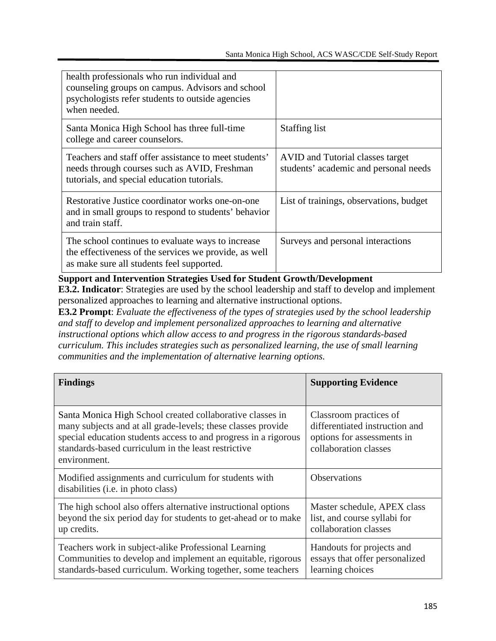| health professionals who run individual and<br>counseling groups on campus. Advisors and school<br>psychologists refer students to outside agencies<br>when needed. |                                                                           |
|---------------------------------------------------------------------------------------------------------------------------------------------------------------------|---------------------------------------------------------------------------|
| Santa Monica High School has three full-time<br>college and career counselors.                                                                                      | <b>Staffing list</b>                                                      |
| Teachers and staff offer assistance to meet students'<br>needs through courses such as AVID, Freshman<br>tutorials, and special education tutorials.                | AVID and Tutorial classes target<br>students' academic and personal needs |
| Restorative Justice coordinator works one-on-one<br>and in small groups to respond to students' behavior<br>and train staff.                                        | List of trainings, observations, budget                                   |
| The school continues to evaluate ways to increase<br>the effectiveness of the services we provide, as well<br>as make sure all students feel supported.             | Surveys and personal interactions                                         |

#### **Support and Intervention Strategies Used for Student Growth/Development**

**E3.2. Indicator**: Strategies are used by the school leadership and staff to develop and implement personalized approaches to learning and alternative instructional options.

**E3.2 Prompt**: *Evaluate the effectiveness of the types of strategies used by the school leadership and staff to develop and implement personalized approaches to learning and alternative instructional options which allow access to and progress in the rigorous standards-based curriculum. This includes strategies such as personalized learning, the use of small learning communities and the implementation of alternative learning options.*

| <b>Findings</b>                                                                                                                                                                                                                                                     | <b>Supporting Evidence</b>                                                                                      |
|---------------------------------------------------------------------------------------------------------------------------------------------------------------------------------------------------------------------------------------------------------------------|-----------------------------------------------------------------------------------------------------------------|
| Santa Monica High School created collaborative classes in<br>many subjects and at all grade-levels; these classes provide<br>special education students access to and progress in a rigorous<br>standards-based curriculum in the least restrictive<br>environment. | Classroom practices of<br>differentiated instruction and<br>options for assessments in<br>collaboration classes |
| Modified assignments and curriculum for students with<br>disabilities (i.e. in photo class)                                                                                                                                                                         | <b>Observations</b>                                                                                             |
| The high school also offers alternative instructional options<br>beyond the six period day for students to get-ahead or to make<br>up credits.                                                                                                                      | Master schedule, APEX class<br>list, and course syllabi for<br>collaboration classes                            |
| Teachers work in subject-alike Professional Learning<br>Communities to develop and implement an equitable, rigorous<br>standards-based curriculum. Working together, some teachers                                                                                  | Handouts for projects and<br>essays that offer personalized<br>learning choices                                 |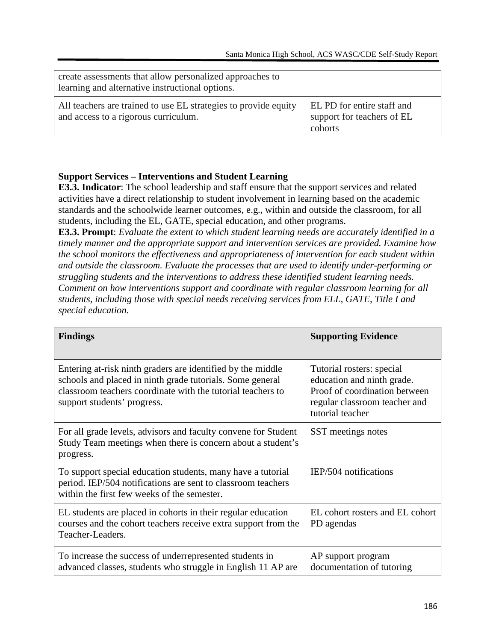| create assessments that allow personalized approaches to<br>learning and alternative instructional options. |                                                                            |
|-------------------------------------------------------------------------------------------------------------|----------------------------------------------------------------------------|
| All teachers are trained to use EL strategies to provide equity<br>and access to a rigorous curriculum.     | <b>EL PD</b> for entire staff and<br>support for teachers of EL<br>cohorts |

#### **Support Services – Interventions and Student Learning**

**E3.3. Indicator**: The school leadership and staff ensure that the support services and related activities have a direct relationship to student involvement in learning based on the academic standards and the schoolwide learner outcomes, e.g., within and outside the classroom, for all students, including the EL, GATE, special education, and other programs.

**E3.3. Prompt**: *Evaluate the extent to which student learning needs are accurately identified in a timely manner and the appropriate support and intervention services are provided. Examine how the school monitors the effectiveness and appropriateness of intervention for each student within and outside the classroom. Evaluate the processes that are used to identify under-performing or struggling students and the interventions to address these identified student learning needs. Comment on how interventions support and coordinate with regular classroom learning for all students, including those with special needs receiving services from ELL, GATE, Title I and special education.*

| <b>Findings</b>                                                                                                                                                                                                        | <b>Supporting Evidence</b>                                                                                                                    |
|------------------------------------------------------------------------------------------------------------------------------------------------------------------------------------------------------------------------|-----------------------------------------------------------------------------------------------------------------------------------------------|
| Entering at-risk ninth graders are identified by the middle<br>schools and placed in ninth grade tutorials. Some general<br>classroom teachers coordinate with the tutorial teachers to<br>support students' progress. | Tutorial rosters: special<br>education and ninth grade.<br>Proof of coordination between<br>regular classroom teacher and<br>tutorial teacher |
| For all grade levels, advisors and faculty convene for Student<br>Study Team meetings when there is concern about a student's<br>progress.                                                                             | SST meetings notes                                                                                                                            |
| To support special education students, many have a tutorial<br>period. IEP/504 notifications are sent to classroom teachers<br>within the first few weeks of the semester.                                             | IEP/504 notifications                                                                                                                         |
| EL students are placed in cohorts in their regular education<br>courses and the cohort teachers receive extra support from the<br>Teacher-Leaders.                                                                     | EL cohort rosters and EL cohort<br>PD agendas                                                                                                 |
| To increase the success of underrepresented students in<br>advanced classes, students who struggle in English 11 AP are                                                                                                | AP support program<br>documentation of tutoring                                                                                               |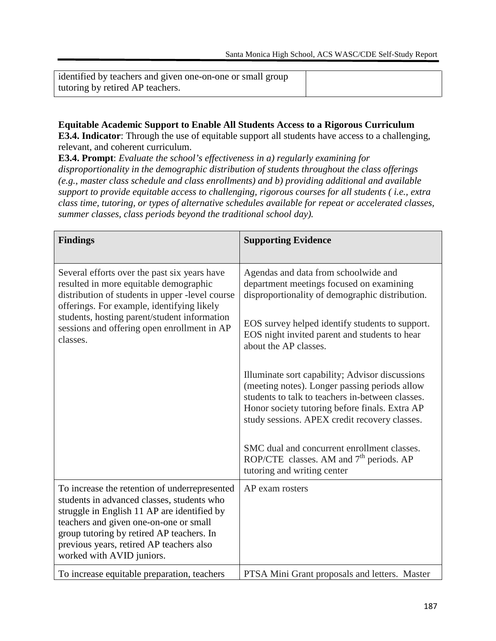| identified by teachers and given one-on-one or small group |  |
|------------------------------------------------------------|--|
| tutoring by retired AP teachers.                           |  |

#### **Equitable Academic Support to Enable All Students Access to a Rigorous Curriculum E3.4. Indicator**: Through the use of equitable support all students have access to a challenging, relevant, and coherent curriculum.

**E3.4. Prompt**: *Evaluate the school's effectiveness in a) regularly examining for disproportionality in the demographic distribution of students throughout the class offerings (e.g., master class schedule and class enrollments) and b) providing additional and available support to provide equitable access to challenging, rigorous courses for all students ( i.e., extra class time, tutoring, or types of alternative schedules available for repeat or accelerated classes, summer classes, class periods beyond the traditional school day).*

| <b>Findings</b>                                                                                                                                                                                                                                                                                            | <b>Supporting Evidence</b>                                                                                                                                                                                                                              |
|------------------------------------------------------------------------------------------------------------------------------------------------------------------------------------------------------------------------------------------------------------------------------------------------------------|---------------------------------------------------------------------------------------------------------------------------------------------------------------------------------------------------------------------------------------------------------|
| Several efforts over the past six years have<br>resulted in more equitable demographic<br>distribution of students in upper -level course<br>offerings. For example, identifying likely<br>students, hosting parent/student information<br>sessions and offering open enrollment in AP<br>classes.         | Agendas and data from schoolwide and<br>department meetings focused on examining<br>disproportionality of demographic distribution.                                                                                                                     |
|                                                                                                                                                                                                                                                                                                            | EOS survey helped identify students to support.<br>EOS night invited parent and students to hear<br>about the AP classes.                                                                                                                               |
|                                                                                                                                                                                                                                                                                                            | Illuminate sort capability; Advisor discussions<br>(meeting notes). Longer passing periods allow<br>students to talk to teachers in-between classes.<br>Honor society tutoring before finals. Extra AP<br>study sessions. APEX credit recovery classes. |
|                                                                                                                                                                                                                                                                                                            | SMC dual and concurrent enrollment classes.<br>ROP/CTE classes. AM and 7 <sup>th</sup> periods. AP<br>tutoring and writing center                                                                                                                       |
| To increase the retention of underrepresented<br>students in advanced classes, students who<br>struggle in English 11 AP are identified by<br>teachers and given one-on-one or small<br>group tutoring by retired AP teachers. In<br>previous years, retired AP teachers also<br>worked with AVID juniors. | AP exam rosters                                                                                                                                                                                                                                         |
| To increase equitable preparation, teachers                                                                                                                                                                                                                                                                | PTSA Mini Grant proposals and letters. Master                                                                                                                                                                                                           |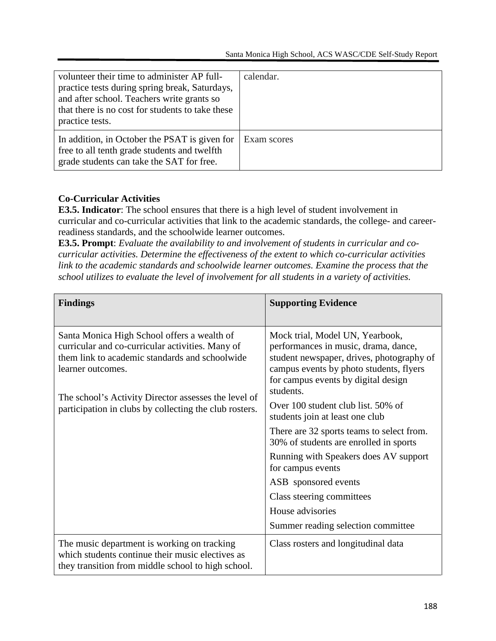| volunteer their time to administer AP full-<br>practice tests during spring break, Saturdays,<br>and after school. Teachers write grants so<br>that there is no cost for students to take these<br>practice tests. | calendar.   |
|--------------------------------------------------------------------------------------------------------------------------------------------------------------------------------------------------------------------|-------------|
| In addition, in October the PSAT is given for<br>free to all tenth grade students and twelfth<br>grade students can take the SAT for free.                                                                         | Exam scores |

#### **Co-Curricular Activities**

**E3.5. Indicator**: The school ensures that there is a high level of student involvement in curricular and co-curricular activities that link to the academic standards, the college- and careerreadiness standards, and the schoolwide learner outcomes.

**E3.5. Prompt**: *Evaluate the availability to and involvement of students in curricular and cocurricular activities. Determine the effectiveness of the extent to which co-curricular activities link to the academic standards and schoolwide learner outcomes. Examine the process that the school utilizes to evaluate the level of involvement for all students in a variety of activities.*

| <b>Findings</b>                                                                                                                                                                                                                                                                          | <b>Supporting Evidence</b>                                                                                                                                                                                                                                                                                                                                                                                                                                                                                                                                       |
|------------------------------------------------------------------------------------------------------------------------------------------------------------------------------------------------------------------------------------------------------------------------------------------|------------------------------------------------------------------------------------------------------------------------------------------------------------------------------------------------------------------------------------------------------------------------------------------------------------------------------------------------------------------------------------------------------------------------------------------------------------------------------------------------------------------------------------------------------------------|
| Santa Monica High School offers a wealth of<br>curricular and co-curricular activities. Many of<br>them link to academic standards and schoolwide<br>learner outcomes.<br>The school's Activity Director assesses the level of<br>participation in clubs by collecting the club rosters. | Mock trial, Model UN, Yearbook,<br>performances in music, drama, dance,<br>student newspaper, drives, photography of<br>campus events by photo students, flyers<br>for campus events by digital design<br>students.<br>Over 100 student club list. 50% of<br>students join at least one club<br>There are 32 sports teams to select from.<br>30% of students are enrolled in sports<br>Running with Speakers does AV support<br>for campus events<br>ASB sponsored events<br>Class steering committees<br>House advisories<br>Summer reading selection committee |
| The music department is working on tracking<br>which students continue their music electives as<br>they transition from middle school to high school.                                                                                                                                    | Class rosters and longitudinal data                                                                                                                                                                                                                                                                                                                                                                                                                                                                                                                              |